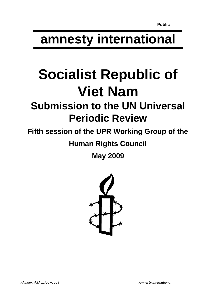# **amnesty international**

# **Socialist Republic of Viet Nam**

# **Submission to the UN Universal Periodic Review**

## **Fifth session of the UPR Working Group of the**

### **Human Rights Council**

**May 2009** 

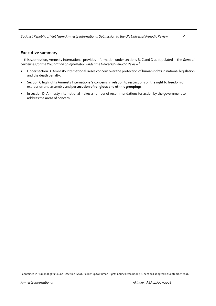#### **Executive summary**

In this submission, Amnesty International provides information under sections B, C and D as stipulated in the *General Guidelines for the Preparation of Information under the Universal Periodic Review:*[1](#page-1-0)

- Under section B, Amnesty International raises concern over the protection of human rights in national legislation and the death penalty.
- Section C highlights Amnesty International's concerns in relation to restrictions on the right to freedom of expression and assembly and p**ersecution of religious and ethnic groupings.**
- In section D, Amnesty International makes a number of recommendations for action by the government to address the areas of concern.

<span id="page-1-0"></span> $\overline{a}$ <sup>1</sup> Contained in Human Rights Council Decision 6/102, Follow-up to Human Rights Council resolution 5/1, section I adopted 27 September 2007.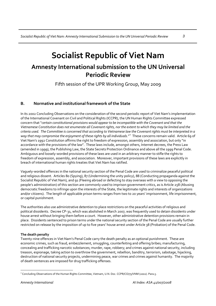### **Socialist Republic of Viet Nam Amnesty International submission to the UN Universal Periodic Review**

Fifth session of the UPR Working Group, May 2009

#### **B. Normative and institutional framework of the State**

In its 2002 Concluding Observations on the consideration of the second periodic report of Viet Nam's implementation of the International Covenant on Civil and Political Rights (ICCPR), the UN Human Rights Committee expressed concern that "*certain constitutional provisions would appear to be incompatible with the Covenant and that the* Vietnamese Constitution does not enumerate all Covenant rights, nor the extent to which they may be limited and the criteria used. The Committee is concerned that according to Vietnamese law the Covenant rights must be interpreted in a *way that may compromise the enjoyment of these rights by all individuals.*" [2](#page-2-0) These concerns remain valid. Article 69 of Viet Nam's 1992 Constitution affirms the right to freedom of expression, assembly and association, but only "in accordance with the provisions of the law". These laws include, amongst others, Internet decrees, the Press Law (amended in 1999), the Publishing Law, the State Secrets Protection Ordinance and above all the 1999 Penal Code. Ambiguous and loosely‐worded provisions of these laws are used in an arbitrary manner to stifle the rights to freedom of expression, assembly, and association. Moreover, important provisions of these laws are explicitly in breach of international human rights treaties that Viet Nam has ratified.

Vaguely‐worded offences in the national security section of the Penal Code are used to criminalize peaceful political and religious dissent. Articles 80 (Spying), 87 (Undermining the unity policy), 88 (Conducting propaganda against the Socialist Republic of Viet Nam), and 91 (Fleeing abroad or defecting to stay overseas with a view to opposing the people's administration) of this section are commonly used to imprison government critics, as is Article 258 (Abusing democratic freedoms to infringe upon the interests of the State, the legitimate rights and interests of organizations and/or citizens). The length of applicable prison terms ranges from two to 20 years' imprisonment, life imprisonment, or capital punishment.

The authorities also use administrative detention to place restrictions on the peaceful activities of religious and political dissidents. Decree CP‐31, which was abolished in March 2007, was frequently used to detain dissidents under house arrest without bringing them before a court. However, other administrative detention provisions remain in place. Dissidents sentenced to prison terms under the national security section of the Penal Code are usually further restricted on release by the imposition of up to five years' house arrest under Article 38 (Probation) of the Penal Code.

#### **The death penalty**

Twenty‐nine offences in Viet Nam's Penal Code carry the death penalty as an optional punishment. These are economic crimes, such as fraud, embezzlement, smuggling, counterfeiting and offering bribes; manufacturing, concealing and trafficking narcotic substances; murder, rape, robbery; and crimes against national security, including treason, espionage, taking action to overthrow the government, rebellion, banditry, terrorism, sabotage, hijacking, destruction of national security projects, undermining peace, war crimes and crimes against humanity. The majority of death sentences are imposed for drug trafficking offenses.

<span id="page-2-0"></span> $\overline{a}$ <sup>2</sup> Concluding Observations of the Human Rights Committee, Vietnam, U.N. Doc. CCPR/CO/75/VNM (2002). Para.5.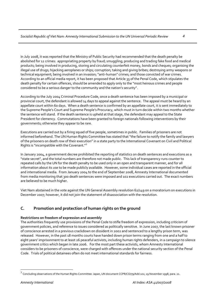In July 2008, it was reported that the Ministry of Public Security had recommended that the death penalty be abolished for 12 crimes: appropriating property by fraud; smuggling; producing and trading fake food and medical products; being involved in producing, storing and circulating counterfeit money, bonds and cheques; organising the illegal use of drugs; hijacking aeroplanes or ships; corruption; taking and giving bribes; destroying army weapons or technical equipment; being involved in an invasion; "anti‐human" crimes; and those convicted of war crimes. According to an official media report, it has been proposed that Article 35 of the Penal Code, which stipulates the death penalty for certain offences, should be amended to apply only to the "most heinous crimes and people considered to be a serious danger to the community and the nation's security".

According to the July 2004 Criminal Procedure Code, once a death sentence has been imposed by a municipal or provincial court, the defendant is allowed 14 days to appeal against the sentence. The appeal must be heard by an appellate court within 60 days. When a death sentence is confirmed by an appellate court, it is sent immediately to the Supreme People's Court and Supreme People's Procuracy, which must in turn decide within two months whether the sentence will stand. If the death sentence is upheld at that stage, the defendant may appeal to the State President for clemency. Commutations have been granted to foreign nationals following interventions by their governments; otherwise they appear to be rare.

Executions are carried out by a firing squad of five people, sometimes in public. Families of prisoners are not informed beforehand. The UN Human Rights Committee has stated that "the failure to notify the family and lawyers of the prisoners on death row of their execution" in a state party to the International Covenant on Civil and Political Rights is "incompatible with the Covenant."[3](#page-3-0)

In January 2004, a government decree prohibited the reporting of statistics on death sentences and executions as a "state secret", and the total numbers are therefore not made public. This lack of transparency runs counter to repeated calls by the UN for the death penalty to be used only in an open and transparent manner, and for all information about its use to be made publicly available. However, some individual cases are reported in the official and international media. From January 2004 to the end of September 2008, Amnesty International documented from media monitoring that 300 death sentences were imposed and 102 executions carried out. The exact numbers are believed to be much higher.

Viet Nam abstained in the vote against the UN General Assembly resolution 62/149 on a moratorium on executions in December 2007; however, it did not join the statement of disassociation with the resolution.

#### **C. Promotion and protection of human rights on the ground**

#### **Restrictions on freedom of expression and assembly**

The authorities frequently use provisions of the Penal Code to stifle freedom of expression, including criticism of government policies, and reference to issues considered as politically sensitive. In June 2007, the last known prisoner of conscience arrested in a previous crackdown on dissident in 2002 and sentenced to a lengthy prison term, was released. However, in the past 18 months courts have handed down prison terms ranging from one and a half to eight years' imprisonment to at least 26 peaceful activists, including human rights defenders, in a campaign to silence government critics which began in late 2006. For the most part these activists, whom Amnesty International considers to be prisoners of conscience, were charged with offences under the national security section of the Penal Code. Trials of political detainees often do not meet international standards for fairness.

 $\overline{a}$ 

<span id="page-3-0"></span> $3$  Concluding observations of the Human Rights Committee: Japan, UN document CCPR/CO/79/Add.102, 19 November 1998, para. 21.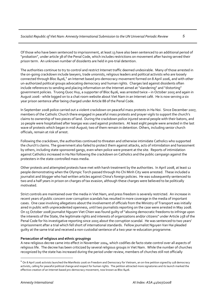Of those who have been sentenced to imprisonment, at least 13 have also been sentenced to an additional period of "probation", under article 38 of the Penal Code, which includes restrictions on movement after having served their prison term. An unknown number of dissidents are held in pre‐trial detention.

The authorities continue to try to control and restrict Internet traffic deemed undesirable. Many of those arrested in the on‐going crackdown include lawyers, trade unionists, religious leaders and political activists who are loosely connected through Bloc 8[4](#page-4-0)06,<sup>4</sup> an Internet based pro-democracy movement formed on 8 April 2006, and with other un-authorized political groups advocating democracy and human rights. Charges laid against dissidents often include references to sending and placing information on the Internet aimed at "slandering" and "distorting" government policies. Truong Quoc Huy, a supporter of Bloc 8406, was arrested twice – in October 2005 and again in August 2006 ‐ while logged on to a chat room website about Viet Nam in an Internet café. He is now serving a six year prison sentence after being charged under Article 88 of the Penal Code.

In September 2008 police carried out a violent crackdown on peaceful mass protests in Ha Noi. Since December 2007, members of the Catholic Church there engaged in peaceful mass protests and prayer vigils to support the church's claims to ownership of two pieces of land. During the crackdown police injured several people with their batons, and 20 people were hospitalised after teargas was used against protesters. At least eight people were arrested in the last wave of protests which began in mid‐August; two of them remain in detention. Others, including senior church officials, remain at risk of arrest.

Following the crackdown, the authorities continued to threaten and otherwise intimidate Catholics who supported the church's claims. The government also failed to protect them against attacks, acts of intimidation and harassment by others, including state‐sponsored gangs, even when police were present at the site. Reports of intimidation against Catholics increased in Ha Noi following the crackdown on Catholics and the public campaign against the protesters in the state‐controlled mass media.

Other protests and attempted protests have met with harsh treatment by the authorities. In April 2008, at least 12 people demonstrating when the Olympic Torch passed through Ho Chi Minh City were arrested. These included a journalist and blogger who had written articles against China's foreign policies. He was subsequently sentenced to two and a half years in prison on charges of tax evasion, although these charges were believed to be politically motivated.

Strict controls are maintained over the media in Viet Nam, and press freedom is severely restricted. An increase in recent years of public concern over corruption scandals has resulted in more coverage in the media of important cases. One case involving allegations about the involvement of officials from the Ministry of Transport was initially aired in public with unprecedented openness, until two journalists reporting on the case were arrested in May 2008. On 15 October 2008 journalist Nguyen Viet Chien was found guilty of"abusing democratic freedoms to infringe upon the interests of the State, the legitimate rights and interests of organizations and/or citizens" under Article 258 of the Penal Code for his investigative reporting since 2005 about the corruption scandal. He was sentenced to two years' imprisonment after a trial which fell short of international standards. Fellow journalist Nguyen Van Hai pleaded guilty at the same trial and received a non‐custodial sentence of a two year re‐education programme.

#### **Persecution of religious and ethnic groupings**

A new religious decree came into effect in November 2004, which codifies de facto state control over all aspects of religious life. The decree has been criticized by several religious groups in Viet Nam. While the number of churches recognized by the state has increased during the period under review, members of churches still not officially

 $\overline{a}$ 

<span id="page-4-0"></span><sup>&</sup>lt;sup>4</sup> On 8 April 2006 activists launched the Manifesto 2006 on Freedom and Democracy for Vietnam, an on-line petition signed by 118 democracy activists, calling for peaceful political change and respect for human rights. The petition attracted more signatories and its launch marked the effective creation of an Internet based pro‐democracy movement, now known as Bloc 8406.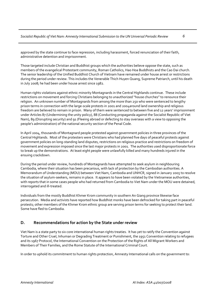approved by the state continue to face repression, including harassment, forced renunciation of their faith, administrative detention and imprisonment.

Those targeted include Christian and Buddhist groups which the authorities believe oppose the state, such as members of the evangelical Protestant community, Roman Catholics, Hao Hoa Buddhists and the Cao Dai church. The senior leadership of the Unified Buddhist Church of Vietnam have remained under house arrest or restrictions during the period under review. This includes the Venerable Thich Huyen Quang, Supreme Patriarch, until his death in July 2008; he had been under house arrest since 1982.

Human rights violations against ethnic minority Montagnards in the Central Highlands continue. These include restrictions on movement and forcing Christians belonging to unauthorized "house churches" to renounce their religion. An unknown number of Montagnards from among the more than 250 who were sentenced to lengthy prison terms in connection with the large‐scale protests in 2001 and 2004around land ownership and religious freedom are believed to remain in prison. Many of them were sentenced to between five and 12 years' imprisonment under Articles 87 (Undermining the unity policy), 88 (Conducting propaganda against the Socialist Republic of Viet Nam), 89 (Disrupting security) and 91 (Fleeing abroad or defecting to stay overseas with a view to opposing the people's administration) of the national security section of the Penal Code.

In April 2004, thousands of Montagnard people protested against government policies in three provinces of the Central Highlands. Most of the protesters were Christians who had planned five days of peaceful protests against government policies on long‐standing land disputes, restrictions on religious practice and restrictions on freedom of movement and expression imposed since the last major protests in 2001. The authorities used disproportionate force to break up the demonstrations. At least eight people were unlawfully killed and many hundreds injured in the ensuing crackdown.

During the period under review, hundreds of Montagnards have attempted to seek asylum in neighbouring Cambodia, where their situation has been precarious, with lack of protection by the Cambodian authorities. A Memorandum of Understanding (MOU) between Viet Nam, Cambodia and UNHCR, signed in January 2005 to resolve the situation of asylum‐seekers, remains in place. It appears to have been violated by the Vietnamese authorities, with reports that in some cases people who had returned from Cambodia to Viet Nam under the MOU were detained, interrogated and ill-treated.

Individuals from the mostly Buddhist Khmer Krom community in southern An Giang province likewise face persecution. Media and activists have reported how Buddhist monks have been defrocked for taking part in peaceful protests; other members of the Khmer Krom ethnic group are serving prison terms for seeking to protect their land. Some have fled to Cambodia.

#### **D. Recommendations for action by the State under review**

Viet Nam is a state party to six core international human rights treaties. It has yet to ratify the Convention against Torture and Other Cruel, Inhuman or Degrading Treatment or Punishment, the 1951 Convention relating to refugees and its 1967 Protocol, the International Convention on the Protection of the Rights of All Migrant Workers and Members of Their Families, and the Rome Statute of the International Criminal Court.

In order to uphold its commitment to human rights protection, Amnesty International calls on the government to: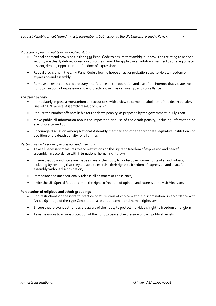#### *Protection of human rights in national legislation*

- Repeal or amend provisions in the 1999 Penal Code to ensure that ambiguous provisions relating to national security are clearly defined or removed, so they cannot be applied in an arbitrary manner to stifle legitimate dissent, debate, opposition and freedom of expression;
- Repeal provisions in the 1999 Penal Code allowing house arrest or probation used to violate freedom of expression and assembly;
- Remove all restrictions and arbitrary interference on the operation and use of the Internet that violate the right to freedom of expression and end practices, such as censorship, and surveillance.

#### *The death penalty*

- Immediately impose a moratorium on executions, with a view to complete abolition of the death penalty, in line with UN General Assembly resolution 62/149;
- Reduce the number offences liable for the death penalty, as proposed by the government in July 2008;
- Make public all information about the imposition and use of the death penalty, including information on executions carried out;
- Encourage discussion among National Assembly member and other appropriate legislative institutions on abolition of the death penalty for all crimes.

#### *Restrictions on freedom of expression and assembly*

- Take all necessary measures to end restrictions on the rights to freedom of expression and peaceful assembly, in accordance with international human rights law;
- Ensure that police officers are made aware of their duty to protect the human rights of all individuals, including by ensuring that they are able to exercise their rights to freedom of expression and peaceful assembly without discrimination;
- Immediate and unconditionally release all prisoners of conscience;
- Invite the UN Special Rapporteur on the right to freedom of opinion and expression to visit Viet Nam.

#### **Persecution of religious and ethnic groupings**

- End restrictions on the right to practice one's religion of choice without discrimination, in accordance with Article 69 and 70 of the 1992 Constitution as well as international human rights law;
- Ensure that relevant authorities are aware of their duty to protect individuals' right to freedom of religion;
- Take measures to ensure protection of the right to peaceful expression of their political beliefs.